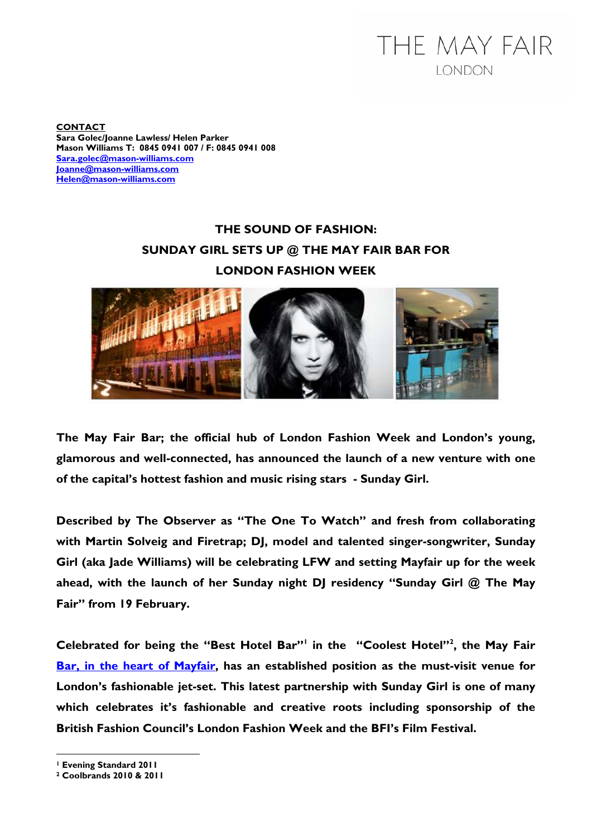## THE MAY FAIR **LONDON**

**CONTACT Sara Golec/Joanne Lawless/ Helen Parker Mason Williams T: 0845 0941 007 / F: 0845 0941 008 Sara.golec@mason-williams.com Joanne@mason-williams.com Helen@mason-williams.com**

## **THE SOUND OF FASHION: SUNDAY GIRL SETS UP @ THE MAY FAIR BAR FOR LONDON FASHION WEEK**



**The May Fair Bar; the official hub of London Fashion Week and London's young, glamorous and well-connected, has announced the launch of a new venture with one of the capital's hottest fashion and music rising stars - Sunday Girl.** 

**Described by The Observer as "The One To Watch" and fresh from collaborating with Martin Solveig and Firetrap; DJ, model and talented singer-songwriter, Sunday Girl (aka Jade Williams) will be celebrating LFW and setting Mayfair up for the week ahead, with the launch of her Sunday night DJ residency "Sunday Girl @ The May Fair" from 19 February.** 

**Celebrated for being the "Best Hotel Bar"<sup>1</sup> in the "Coolest Hotel"<sup>2</sup> , the May Fair Bar, in the heart of Mayfair, has an established position as the must-visit venue for London's fashionable jet-set. This latest partnership with Sunday Girl is one of many which celebrates it's fashionable and creative roots including sponsorship of the British Fashion Council's London Fashion Week and the BFI's Film Festival.** 

 $\overline{a}$ 

**<sup>1</sup> Evening Standard 2011** 

**<sup>2</sup> Coolbrands 2010 & 2011**